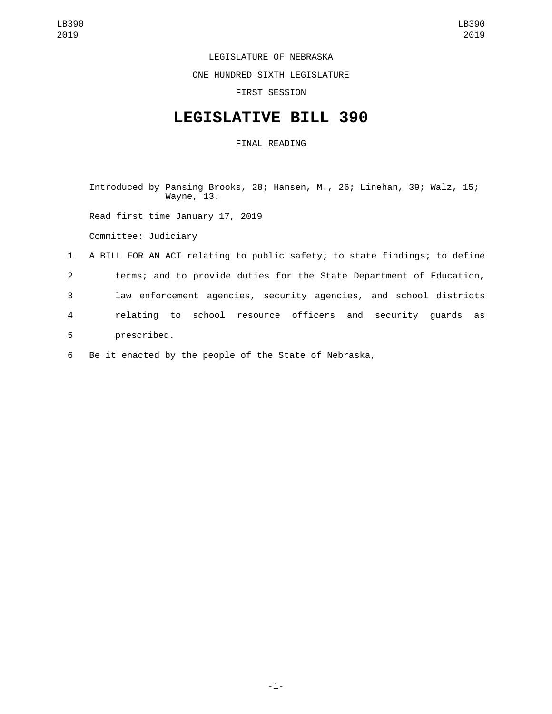LEGISLATURE OF NEBRASKA

ONE HUNDRED SIXTH LEGISLATURE

FIRST SESSION

## **LEGISLATIVE BILL 390**

FINAL READING

Introduced by Pansing Brooks, 28; Hansen, M., 26; Linehan, 39; Walz, 15; Wayne, 13.

Read first time January 17, 2019

Committee: Judiciary

 A BILL FOR AN ACT relating to public safety; to state findings; to define terms; and to provide duties for the State Department of Education, law enforcement agencies, security agencies, and school districts relating to school resource officers and security guards as 5 prescribed.

6 Be it enacted by the people of the State of Nebraska,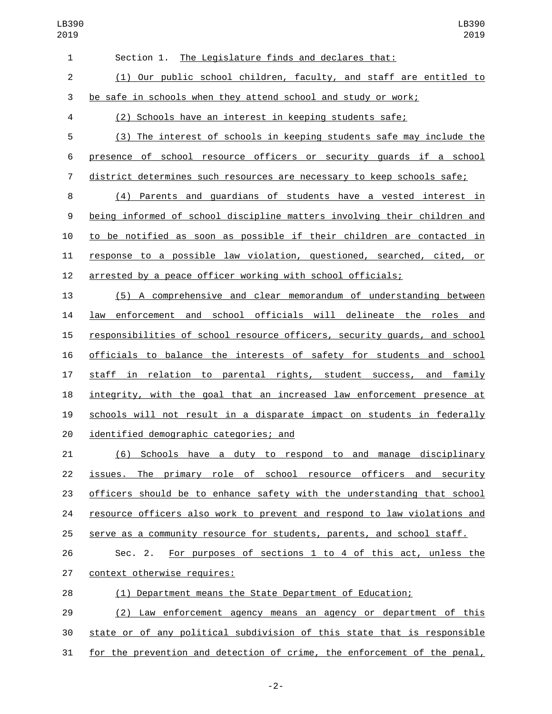| $\mathbf{1}$   | Section 1. The Legislature finds and declares that:                       |
|----------------|---------------------------------------------------------------------------|
| 2              | (1) Our public school children, faculty, and staff are entitled to        |
| 3              | be safe in schools when they attend school and study or work;             |
| 4              | (2) Schools have an interest in keeping students safe;                    |
| 5              | (3) The interest of schools in keeping students safe may include the      |
| 6              | presence of school resource officers or security guards if a school       |
| $\overline{7}$ | district determines such resources are necessary to keep schools safe;    |
| 8              | (4) Parents and guardians of students have a vested interest in           |
| 9              | being informed of school discipline matters involving their children and  |
| 10             | to be notified as soon as possible if their children are contacted in     |
| 11             | response to a possible law violation, questioned, searched, cited, or     |
| 12             | arrested by a peace officer working with school officials;                |
| 13             | (5) A comprehensive and clear memorandum of understanding between         |
| 14             | law enforcement and school officials will delineate the roles and         |
| 15             | responsibilities of school resource officers, security guards, and school |

 officials to balance the interests of safety for students and school 17 staff in relation to parental rights, student success, and family integrity, with the goal that an increased law enforcement presence at 19 schools will not result in a disparate impact on students in federally 20 identified demographic categories; and

 (6) Schools have a duty to respond to and manage disciplinary issues. The primary role of school resource officers and security officers should be to enhance safety with the understanding that school resource officers also work to prevent and respond to law violations and serve as a community resource for students, parents, and school staff.

 Sec. 2. For purposes of sections 1 to 4 of this act, unless the 27 context otherwise requires:

(1) Department means the State Department of Education;

 (2) Law enforcement agency means an agency or department of this state or of any political subdivision of this state that is responsible for the prevention and detection of crime, the enforcement of the penal,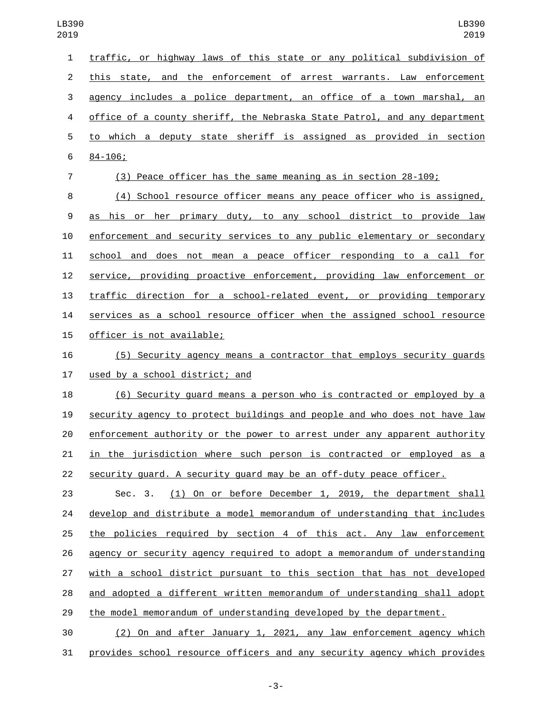|   | 1 traffic, or highway laws of this state or any political subdivision of    |
|---|-----------------------------------------------------------------------------|
|   | 2 this state, and the enforcement of arrest warrants. Law enforcement       |
| 3 | agency includes a police department, an office of a town marshal, an        |
|   | 4 office of a county sheriff, the Nebraska State Patrol, and any department |
|   | 5 to which a deputy state sheriff is assigned as provided in section        |
|   | $6\quad 84 - 106$ ;                                                         |
|   |                                                                             |

(3) Peace officer has the same meaning as in section 28-109;

 (4) School resource officer means any peace officer who is assigned, as his or her primary duty, to any school district to provide law enforcement and security services to any public elementary or secondary school and does not mean a peace officer responding to a call for service, providing proactive enforcement, providing law enforcement or traffic direction for a school-related event, or providing temporary services as a school resource officer when the assigned school resource 15 officer is not available;

 (5) Security agency means a contractor that employs security guards 17 used by a school district; and

 (6) Security guard means a person who is contracted or employed by a security agency to protect buildings and people and who does not have law enforcement authority or the power to arrest under any apparent authority in the jurisdiction where such person is contracted or employed as a security guard. A security guard may be an off-duty peace officer.

 Sec. 3. (1) On or before December 1, 2019, the department shall develop and distribute a model memorandum of understanding that includes the policies required by section 4 of this act. Any law enforcement agency or security agency required to adopt a memorandum of understanding with a school district pursuant to this section that has not developed and adopted a different written memorandum of understanding shall adopt the model memorandum of understanding developed by the department.

 (2) On and after January 1, 2021, any law enforcement agency which provides school resource officers and any security agency which provides

-3-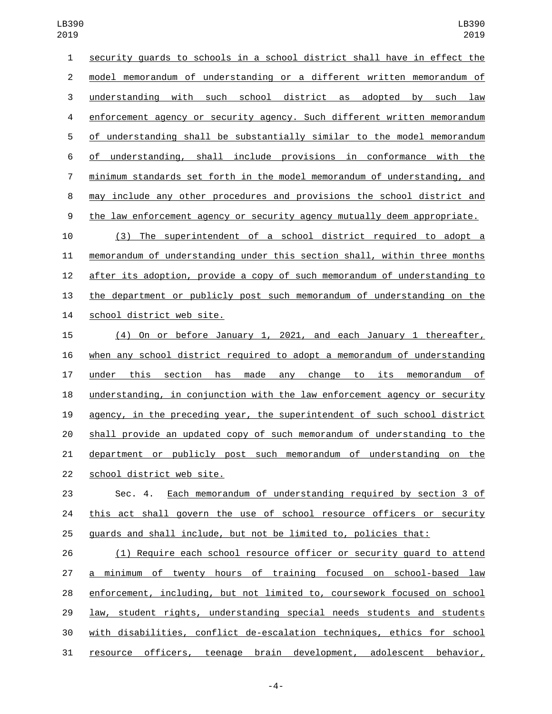security guards to schools in a school district shall have in effect the model memorandum of understanding or a different written memorandum of understanding with such school district as adopted by such law enforcement agency or security agency. Such different written memorandum of understanding shall be substantially similar to the model memorandum of understanding, shall include provisions in conformance with the minimum standards set forth in the model memorandum of understanding, and may include any other procedures and provisions the school district and the law enforcement agency or security agency mutually deem appropriate. (3) The superintendent of a school district required to adopt a memorandum of understanding under this section shall, within three months after its adoption, provide a copy of such memorandum of understanding to the department or publicly post such memorandum of understanding on the 14 school district web site.

 (4) On or before January 1, 2021, and each January 1 thereafter, when any school district required to adopt a memorandum of understanding under this section has made any change to its memorandum of understanding, in conjunction with the law enforcement agency or security agency, in the preceding year, the superintendent of such school district shall provide an updated copy of such memorandum of understanding to the department or publicly post such memorandum of understanding on the 22 school district web site.

 Sec. 4. Each memorandum of understanding required by section 3 of this act shall govern the use of school resource officers or security guards and shall include, but not be limited to, policies that:

 (1) Require each school resource officer or security guard to attend a minimum of twenty hours of training focused on school-based law enforcement, including, but not limited to, coursework focused on school law, student rights, understanding special needs students and students with disabilities, conflict de-escalation techniques, ethics for school resource officers, teenage brain development, adolescent behavior,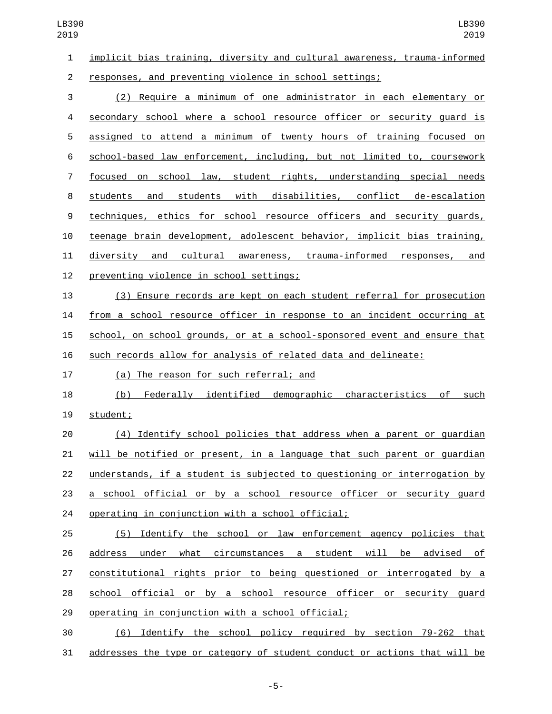| LB390<br>2019  | LB390<br>2019                                                             |
|----------------|---------------------------------------------------------------------------|
| $\mathbf{1}$   | implicit bias training, diversity and cultural awareness, trauma-informed |
| $\overline{2}$ | responses, and preventing violence in school settings;                    |
| 3              | (2) Require a minimum of one administrator in each elementary or          |
| 4              | secondary school where a school resource officer or security quard is     |
| 5              | assigned to attend a minimum of twenty hours of training focused on       |
| 6              | school-based law enforcement, including, but not limited to, coursework   |
| 7              | focused on school law, student rights, understanding special needs        |
| 8              | students<br>with disabilities, conflict de-escalation<br>students<br>and  |
| 9              | techniques, ethics for school resource officers and security guards,      |
| 10             | teenage brain development, adolescent behavior, implicit bias training,   |
| 11             | cultural awareness, trauma-informed responses, and<br>diversity and       |
| 12             | preventing violence in school settings;                                   |
| 13             | (3) Ensure records are kept on each student referral for prosecution      |
| 14             | from a school resource officer in response to an incident occurring at    |
| 15             | school, on school grounds, or at a school-sponsored event and ensure that |
| 16             | such records allow for analysis of related data and delineate:            |
| 17             | (a) The reason for such referral; and                                     |
| 18             | Federally identified demographic characteristics<br>(b)<br>of such        |
| 19             | student;                                                                  |
| 20             | (4) Identify school policies that address when a parent or quardian       |
| 21             | will be notified or present, in a language that such parent or guardian   |
| 22             | understands, if a student is subjected to questioning or interrogation by |
| 23             | a school official or by a school resource officer or security quard       |
| 24             | operating in conjunction with a school official;                          |
| 25             | (5) Identify the school or law enforcement agency policies that           |
| 26             | address under what circumstances a student will be advised<br><u>of</u>   |
| 27             | constitutional rights prior to being questioned or interrogated by a      |
| 28             | school official or by a school resource officer or security quard         |
| 29             | operating in conjunction with a school official;                          |
| 30             | Identify the school policy required by section 79-262 that<br>(6)         |
| 31             | addresses the type or category of student conduct or actions that will be |